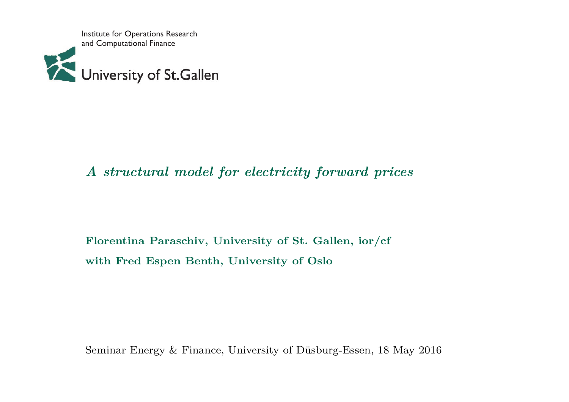Institute for Operations Research and Computational Finance



# *A structural model for electricity forward prices*

**Florentina Paraschiv, University of St. Gallen, ior/cfwith Fred Espen Benth, University of Oslo**

Seminar Energy & Finance, University of Düsburg-Essen, <sup>18</sup> May <sup>2016</sup>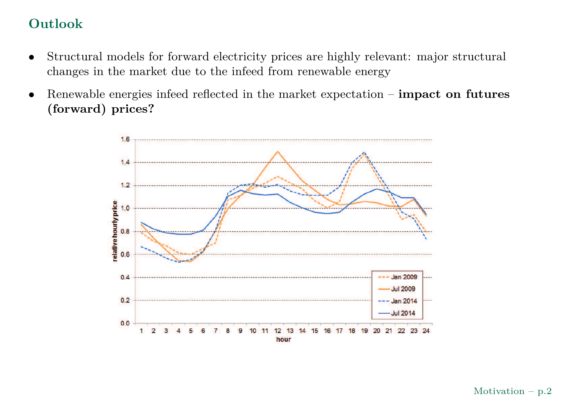# **Outlook**

- • Structural models for forward electricity prices are highly relevant: major structural changes in the market due to the infeed from renewable energy
- • Renewable energies infeed reflected in the market expectation – **impact on futures (forward) prices?**

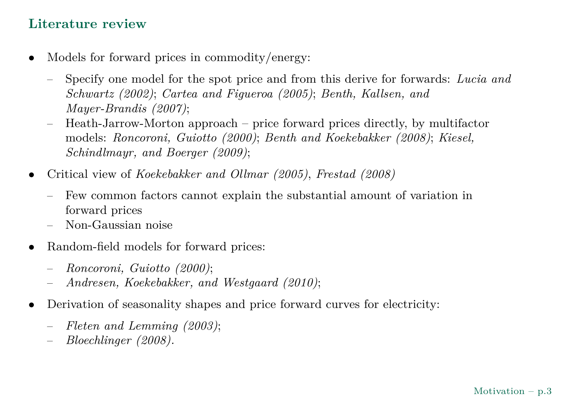# **Literature review**

- • Models for forward prices in commodity/energy:
	- Specify one model for the spot price and from this derive for forwards: *Lucia andSchwartz (2002)*; *Cartea and Figueroa (2005)*; *Benth, Kallsen, andMayer-Brandis (2007)*;
	- – Heath-Jarrow-Morton approac<sup>h</sup> – price forward prices directly, by multifactor models: *Roncoroni, Guiotto (2000)*; *Benth and Koekebakker (2008)*; *Kiesel,Schindlmayr, and Boerger (2009)*;
- $\bullet$  Critical view of *Koekebakker and Ollmar (2005)*, *Frestad (2008)*
	- – Few common factors cannot explain the substantial amount of variation inforward prices
	- Non-Gaussian noise
- • Random-field models for forward prices:
	- –*Roncoroni, Guiotto (2000)*;
	- –*Andresen, Koekebakker, and Westgaard (2010)*;
- • Derivation of seasonality shapes and price forward curves for electricity:
	- *Fleten and Lemming (2003)*;
	- *Bloechlinger (2008).*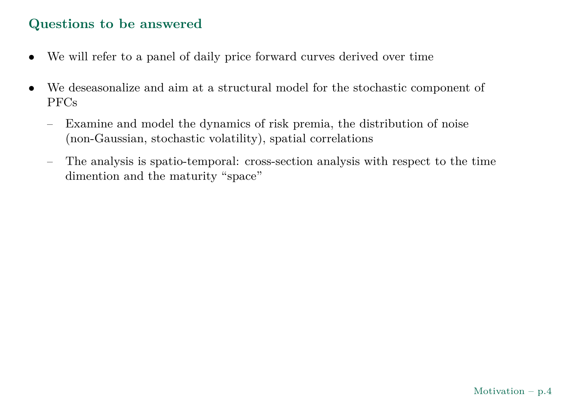## **Questions to be answered**

- •We will refer to <sup>a</sup> pane<sup>l</sup> of daily price forward curves derived over time
- • We deseasonalize and aim at <sup>a</sup> structural model for the stochastic component of PFCs
	- – Examine and model the dynamics of risk premia, the distribution of noise (non-Gaussian, stochastic volatility), spatial correlations
	- – The analysis is spatio-temporal: cross-section analysis with respect to the time dimention and the maturity "space"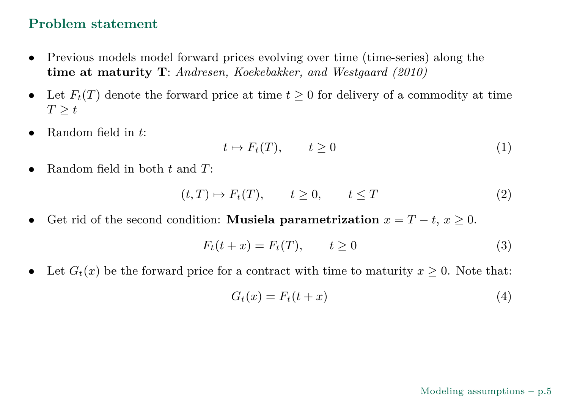## **Problem statement**

- • Previous models model forward prices evolving over time (time-series) along the **time at maturity <sup>T</sup>**: *Andresen, Koekebakker, and Westgaard (2010)*
- $\bullet$ ■ Let  $F_t(T)$  denote the forward price at time  $t \ge 0$  for delivery of a commodity at time  $T \geq t$
- •Random field in *<sup>t</sup>*:

$$
t \mapsto F_t(T), \qquad t \ge 0 \tag{1}
$$

•Random field in both *<sup>t</sup>* and *<sup>T</sup>*:

$$
(t,T) \mapsto F_t(T), \qquad t \ge 0, \qquad t \le T \tag{2}
$$

• $\bullet$  Get rid of the second condition: Musiela parametrization  $x = T - t$ ,  $x ≥ 0$ .

$$
F_t(t+x) = F_t(T), \qquad t \ge 0 \tag{3}
$$

 $\bullet$ • Let  $G_t(x)$  be the forward price for a contract with time to maturity  $x \ge 0$ . Note that:

$$
G_t(x) = F_t(t+x)
$$
\n<sup>(4)</sup>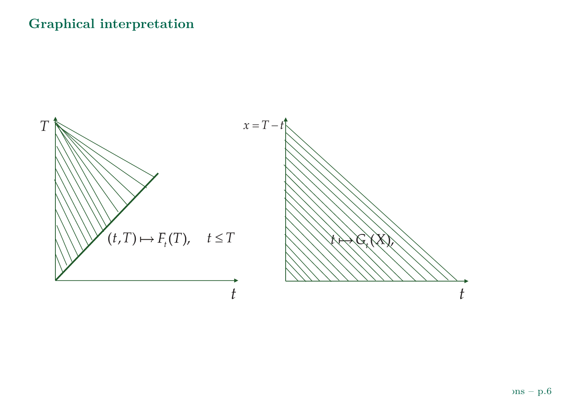# **Graphical interpretation**

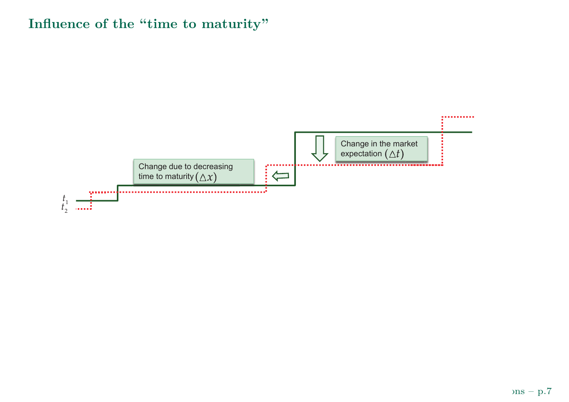# **Influence of the "time to maturity"**

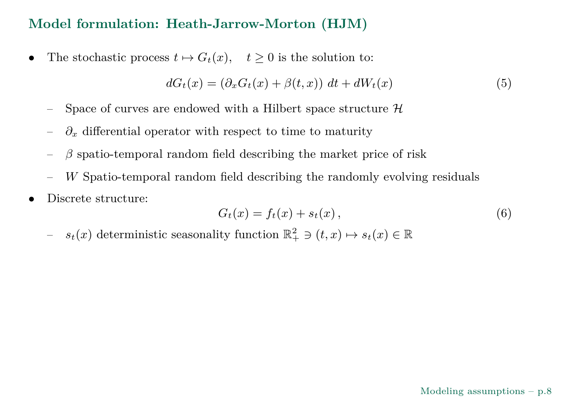## **Model formulation: Heath-Jarrow-Morton (HJM)**

•The stochastic process  $t \mapsto G_t(x)$ ,  $t \geq 0$  is the solution to:

$$
dG_t(x) = (\partial_x G_t(x) + \beta(t, x)) dt + dW_t(x)
$$
\n(5)

- Space of curves are endowed with a Hilbert space structure  $\mathcal H$
- *∂x* $\mathbf{d}_x$  differential operator with respect to time to maturity
- $\beta$  spatio-temporal random field describing the market price of risk
- –*W* Spatio-temporal random field describing the randomly evolving residuals
- •Discrete structure:

$$
G_t(x) = f_t(x) + s_t(x), \qquad (6)
$$

<span id="page-7-0"></span> $s_t(x)$  deterministic seasonality function  $\mathbb{R}^2_+$ – $x_+^2 \ni (t,x) \mapsto s_t(x) \in \mathbb{R}$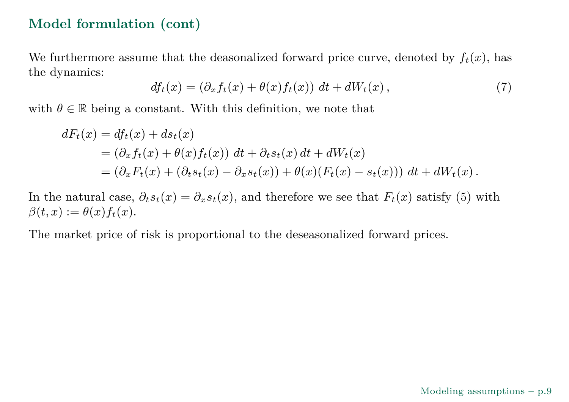#### **Model formulation (cont)**

We furthermore assume that the deasonalized forward price curve, denoted by  $f_t(x)$ , has the dynamics:

$$
df_t(x) = (\partial_x f_t(x) + \theta(x)f_t(x)) dt + dW_t(x), \qquad (7)
$$

<span id="page-8-0"></span>with  $\theta \in \mathbb{R}$  being a constant. With this definition, we note that

$$
dF_t(x) = df_t(x) + ds_t(x)
$$
  
=  $(\partial_x f_t(x) + \theta(x)f_t(x)) dt + \partial_t s_t(x) dt + dW_t(x)$   
=  $(\partial_x F_t(x) + (\partial_t s_t(x) - \partial_x s_t(x)) + \theta(x)(F_t(x) - s_t(x))) dt + dW_t(x).$ 

In the natural case,  $\partial_t s_t(x) = \partial_x s_t(x)$ , and therefore we see that  $F_t(x)$  satisfy [\(5\)](#page-7-0) with  $\partial_t f(x) = \partial_x s_t(x)$ .  $\beta(t,x) := \theta(x) f_t(x).$ 

The market price of risk is proportional to the deseasonalized forward prices.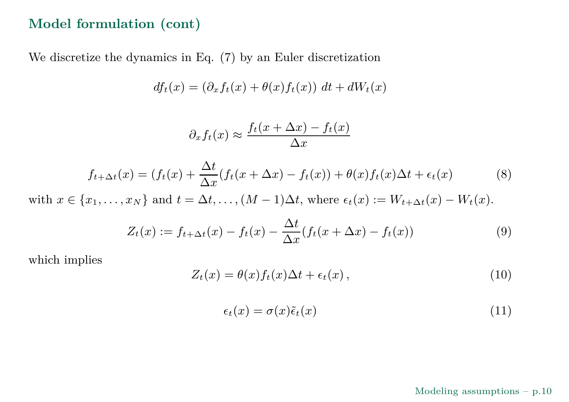## **Model formulation (cont)**

We discretize the dynamics in Eq. [\(7\)](#page-8-0) by an Euler discretization

$$
df_t(x) = (\partial_x f_t(x) + \theta(x) f_t(x)) dt + dW_t(x)
$$

$$
\partial_x f_t(x) \approx \frac{f_t(x + \Delta x) - f_t(x)}{\Delta x}
$$

$$
f_{t+\Delta t}(x) = (f_t(x) + \frac{\Delta t}{\Delta x}(f_t(x + \Delta x) - f_t(x)) + \theta(x)f_t(x)\Delta t + \epsilon_t(x)
$$
(8)

with  $x \in \{x_1, \ldots, x_N\}$  and  $t = \Delta t, \ldots, (M-1)\Delta t$ , where  $\epsilon_t(x) := W_{t+\Delta t}(x) - W_t(x)$ .

$$
Z_t(x) := f_{t + \Delta t}(x) - f_t(x) - \frac{\Delta t}{\Delta x}(f_t(x + \Delta x) - f_t(x))
$$
\n(9)

which implies

$$
Z_t(x) = \theta(x) f_t(x) \Delta t + \epsilon_t(x) , \qquad (10)
$$

$$
\epsilon_t(x) = \sigma(x)\tilde{\epsilon}_t(x) \tag{11}
$$

#### Modeling assumptions – p.10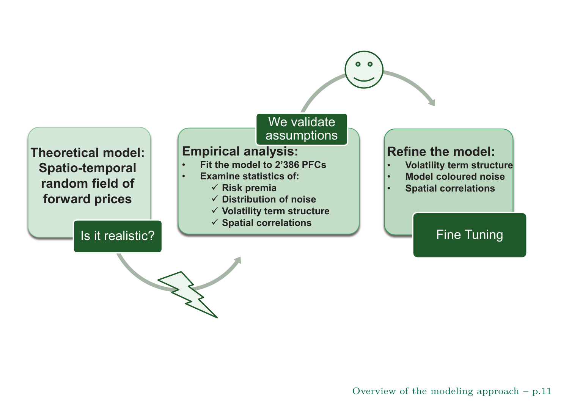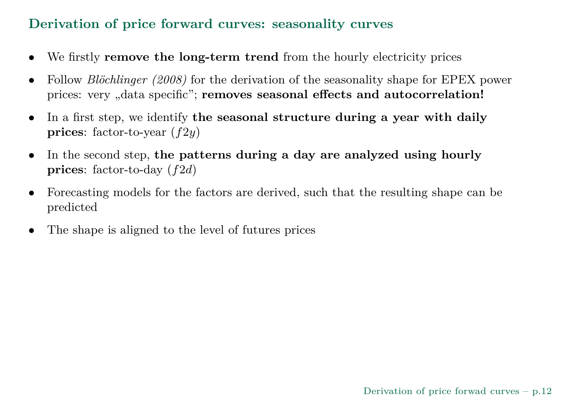# **Derivation of price forward curves: seasonality curves**

- •We firstly **remove the long-term trend** from the hourly electricity prices
- •• Follow *Blöchlinger* (2008) for the derivation of the seasonality shape for EPEX power prices: very "data specific"; **removes seasonal effects and autocorrelation!**
- • In <sup>a</sup> first step, we identify **the seasonal structure during <sup>a</sup> year with dailyprices**: factor-to-year (*f*2*y*)
- • In the second step, **the patterns during <sup>a</sup> day are analyzed using hourlyprices**: factor-to-day (*f*2*d*)
- • Forecasting models for the factors are derived, such that the resulting shape can be predicted
- •The shape is aligned to the level of futures prices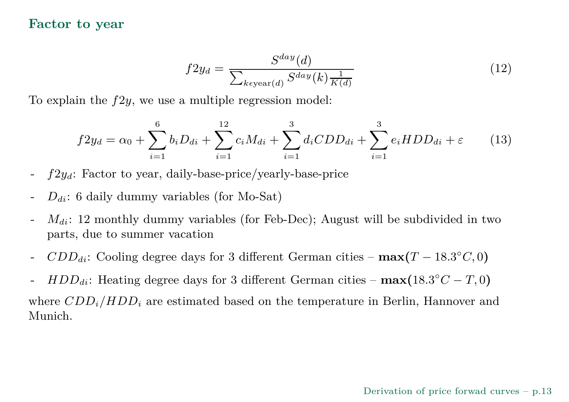#### **Factor to year**

$$
f2y_d = \frac{S^{day}(d)}{\sum_{k \in \text{year}(d)} S^{day}(k) \frac{1}{K(d)}}\tag{12}
$$

To explain the *f*2*y*, we use <sup>a</sup> multiple regression model:

$$
f2y_d = \alpha_0 + \sum_{i=1}^{6} b_i D_{di} + \sum_{i=1}^{12} c_i M_{di} + \sum_{i=1}^{3} d_i CDD_{di} + \sum_{i=1}^{3} e_i HDD_{di} + \varepsilon \qquad (13)
$$

- *f*2*yd*: Factor to year, daily-base-price/yearly-base-price
- *<sup>D</sup>di*: <sup>6</sup> daily dummy variables (for Mo-Sat)
- *M*<sub>di</sub>: 12 monthly dummy variables (for Feb-Dec); August will be subdivided in two parts, due to summer vacation
- *CDDdi*: Cooling degree days for <sup>3</sup> different German cities **max(***<sup>T</sup>* <sup>−</sup> <sup>18</sup>*.*3◦*C,* <sup>0</sup>**)**
- *HDDdi*: Heating degree days for <sup>3</sup> different German cities **max(**<sup>18</sup>*.*3◦*<sup>C</sup>* <sup>−</sup> *T,* <sup>0</sup>**)**

where *CDDi/HDD<sup>i</sup>* are estimated based on the temperature in Berlin, Hannover andMunich.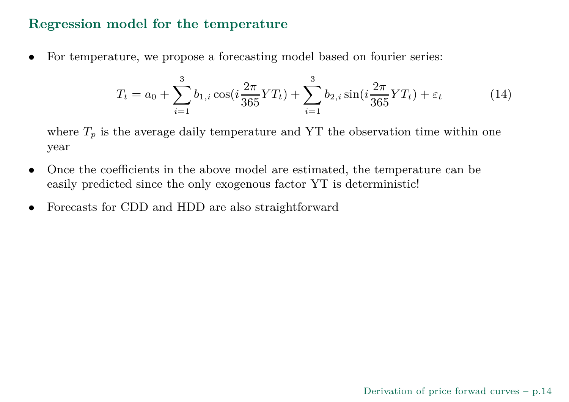#### **Regression model for the temperature**

•For temperature, we propose <sup>a</sup> forecasting model based on fourier series:

$$
T_t = a_0 + \sum_{i=1}^3 b_{1,i} \cos(i\frac{2\pi}{365}YT_t) + \sum_{i=1}^3 b_{2,i} \sin(i\frac{2\pi}{365}YT_t) + \varepsilon_t
$$
 (14)

where  $T_p$  is the average daily temperature and YT the observation time within one year

- • Once the coefficients in the above model are estimated, the temperature can be easily predicted since the only exogenous factor YT is deterministic!
- $\bullet$ Forecasts for CDD and HDD are also straightforward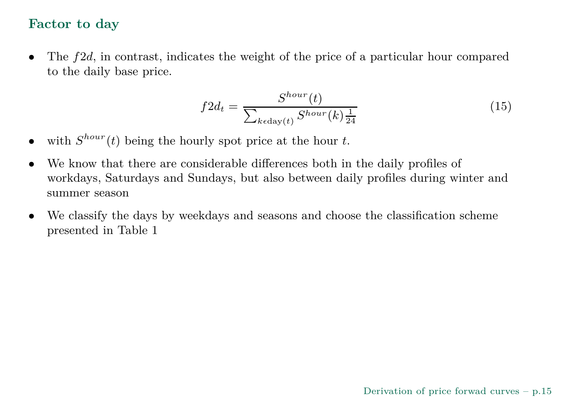#### **Factor to day**

 $\bullet$  The *f*2*d*, in contrast, indicates the weight of the price of <sup>a</sup> particular hour comparedto the daily base price.

$$
f2d_t = \frac{S^{hour}(t)}{\sum_{k \in \text{day}(t)} S^{hour}(k) \frac{1}{24}}
$$
(15)

- •• with  $S^{hour}(t)$  being the hourly spot price at the hour *t*.
- $\bullet$  We know that there are considerable differences both in the daily profiles of workdays, Saturdays and Sundays, but also between daily profiles during winter andsummer season
- • We classify the days by weekdays and seasons and choose the classification scheme presented in Table [1](#page-15-0)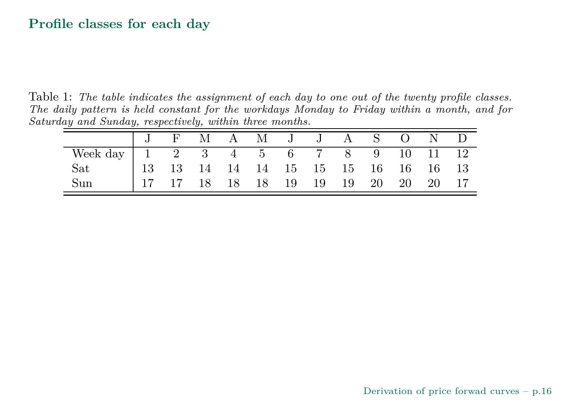#### <span id="page-15-0"></span>**Profile classes for each day**

 $Table~1:$  The table indicates the assignment of each day to one out of the twenty profile classes.  $The\,\,daily\,\,pattern\,\,is\,\,held\,\,constant\,\,for\,\,the\,\,workdays\,\,Monday\,\,to\,\,Friday\,\,within\,\,a\,\,month,\,\,and\,\,for$ *Saturday and Sunday, respectively, within three months.*

|                                                                                    | $\mathbf{F}$ | M  | A M J J A S O |       |  |             | N D |
|------------------------------------------------------------------------------------|--------------|----|---------------|-------|--|-------------|-----|
|                                                                                    |              |    |               |       |  |             |     |
| Week day   1 2 3 4 5 6 7 8 9 10 11 12<br>Sat   13 13 14 14 14 15 15 15 16 16 16 13 |              |    |               |       |  |             |     |
| Sun                                                                                |              | 18 | 18 18 19      | 19 19 |  | 20 20 20 17 |     |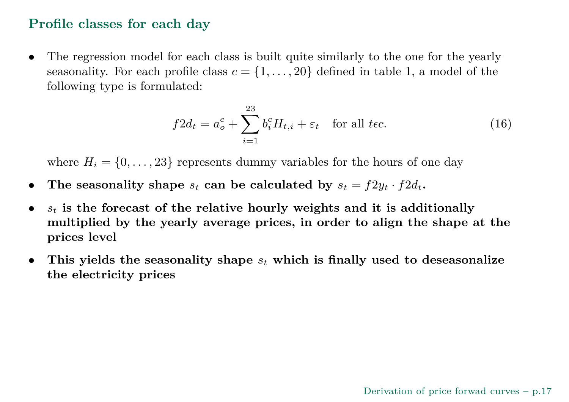#### **Profile classes for each day**

• The regression model for each class is built quite similarly to the one for the yearlyseasonality. For each profile class  $c = \{1, \ldots, 20\}$  $c = \{1, \ldots, 20\}$  $c = \{1, \ldots, 20\}$  defined in table 1, a model of the following type is formulated:

$$
f2d_t = a_o^c + \sum_{i=1}^{23} b_i^c H_{t,i} + \varepsilon_t \quad \text{for all } t \in \mathcal{C}.
$$
 (16)

where  $H_i = \{0, \ldots, 23\}$  represents dummy variables for the hours of one day

- $\bullet$ • The seasonality shape  $s_t$  can be calculated by  $s_t = f2y_t \cdot f2d_t$ .
- $\bullet$  $s_t$  is the forecast of the relative hourly weights and it is additionally multiplied by the yearly average prices, in order to align the shape at the **prices level**
- •• This yields the seasonality shape  $s_t$  which is finally used to deseasonalize **the electricity prices**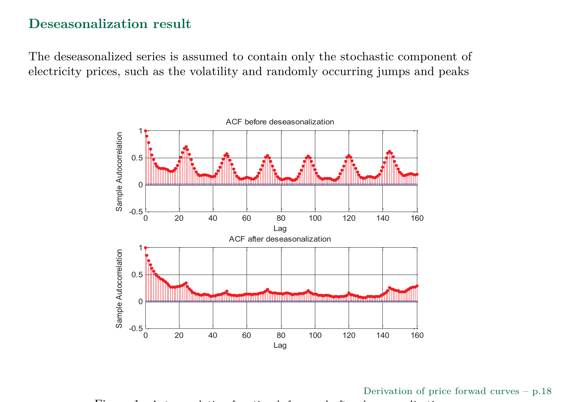#### **Deseasonalization result**

The deseasonalized series is assumed to contain only the stochastic component ofelectricity prices, such as the volatility and randomly occurring jumps and peaks



Derivation of price forwad curves – p.<sup>18</sup>

 $\blacksquare$ *Autocorrelation function before and after deseasonalization*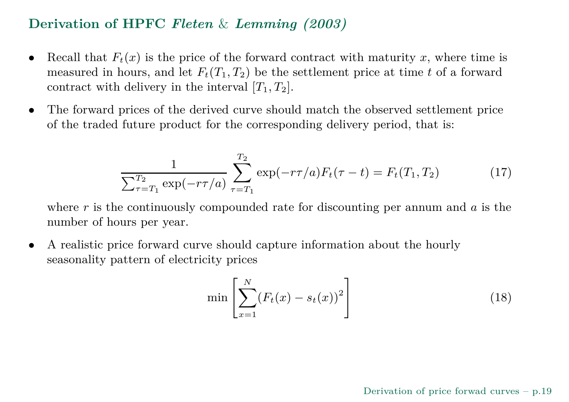# **Derivation of HPFC** *Fleten* & *Lemming (2003)*

- $\bullet$ • Recall that  $F_t(x)$  is the price of the forward contract with maturity *x*, where time is measured in hours, and let  $F_t(T_1, T_2)$  be the settlement price at time *t* of a forward contract with delivery in the interval  $[T_1, T_2]$ .
- $\bullet$  The forward prices of the derived curve should match the observed settlement price of the traded future product for the corresponding delivery period, that is:

$$
\frac{1}{\sum_{\tau=T_1}^{T_2} \exp(-r\tau/a)} \sum_{\tau=T_1}^{T_2} \exp(-r\tau/a) F_t(\tau-t) = F_t(T_1, T_2)
$$
(17)

where *r* is the continuously compounded rate for discounting per annum and *a* is the number of hours per year.

• <sup>A</sup> realistic price forward curve should capture information about the hourlyseasonality pattern of electricity prices

$$
\min\left[\sum_{x=1}^{N} (F_t(x) - s_t(x))^2\right]
$$
\n(18)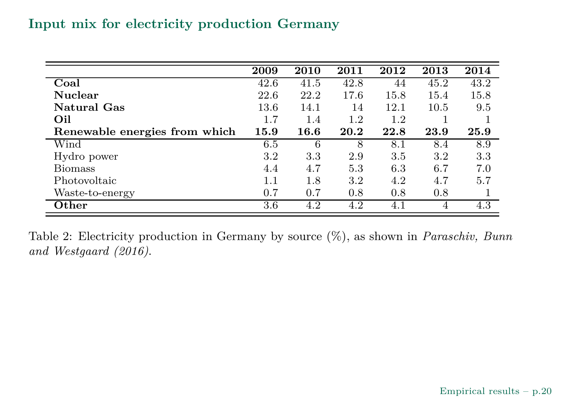# **Input mix for electricity production Germany**

|                               | 2009 | 2010 | 2011 | 2012    | 2013 | 2014 |
|-------------------------------|------|------|------|---------|------|------|
| Coal                          | 42.6 | 41.5 | 42.8 | 44      | 45.2 | 43.2 |
| <b>Nuclear</b>                | 22.6 | 22.2 | 17.6 | 15.8    | 15.4 | 15.8 |
| <b>Natural Gas</b>            | 13.6 | 14.1 | 14   | 12.1    | 10.5 | 9.5  |
| Oil                           | 1.7  | 1.4  | 1.2  | 1.2     |      |      |
| Renewable energies from which | 15.9 | 16.6 | 20.2 | 22.8    | 23.9 | 25.9 |
| Wind                          | 6.5  | 6    | 8    | 8.1     | 8.4  | 8.9  |
| Hydro power                   | 3.2  | 3.3  | 2.9  | 3.5     | 3.2  | 3.3  |
| <b>Biomass</b>                | 4.4  | 4.7  | 5.3  | 6.3     | 6.7  | 7.0  |
| Photovoltaic                  | 1.1  | 1.8  | 3.2  | 4.2     | 4.7  | 5.7  |
| Waste-to-energy               | 0.7  | 0.7  | 0.8  | 0.8     | 0.8  |      |
| $\mathbf{Other}$              | 3.6  | 4.2  | 4.2  | $4.1\,$ | 4    | 4.3  |

Table 2: Electricity production in Germany by source (%), as shown in *Paraschiv, Bunnand Westgaard (2016)*.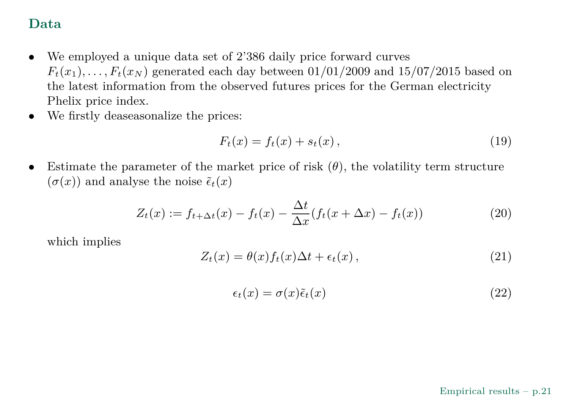# **Data**

- $\bullet$  We employed <sup>a</sup> unique data set of 2'386 daily price forward curves  $F_t(x_1), \ldots, F_t(x_N)$  generated each day between  $01/01/2009$  and  $15/07/2015$  based on the latest information from the observed futures prices for the German electricityPhelix price index.
- $\bullet$ We firstly deaseasonalize the prices:

$$
F_t(x) = f_t(x) + s_t(x),
$$
\n(19)

•Estimate the parameter of the market price of risk  $(\theta)$ , the volatility term structure  $(\sigma(x))$  and analyse the noise  $\tilde{\epsilon}_t(x)$ 

$$
Z_t(x) := f_{t+\Delta t}(x) - f_t(x) - \frac{\Delta t}{\Delta x}(f_t(x+\Delta x) - f_t(x))
$$
\n(20)

which implies

$$
Z_t(x) = \theta(x) f_t(x) \Delta t + \epsilon_t(x), \qquad (21)
$$

$$
\epsilon_t(x) = \sigma(x)\tilde{\epsilon}_t(x) \tag{22}
$$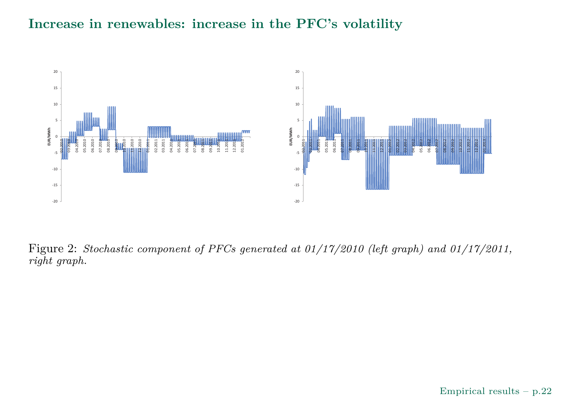#### **Increase in renewables: increase in the PFC's volatility**



 $\text{Figure 2: Stochastic component of PFCs generated at } 01/17/2010 \text{ (left graph) and } 01/17/2011,$ *right graph.*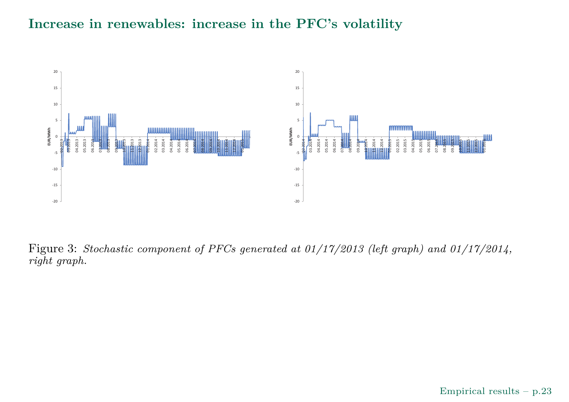#### **Increase in renewables: increase in the PFC's volatility**



 $\text{Figure 3: Stochastic component of PFCs generated at } 01/17/2013 \text{ (left graph) and } 01/17/2014,$ *right graph.*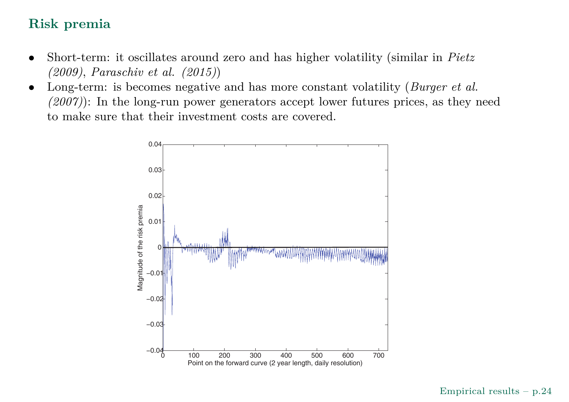# **Risk premia**

- • Short-term: it oscillates around zero and has higher volatility (similar in *Pietz (2009)*, *Paraschiv et al. (2015)*)
- Long-term: is becomes negative and has more constant volatility (*Burger et al.* •*(2007)*): In the long-run power generators accept lower futures prices, as they needto make sure that their investment costs are covered.

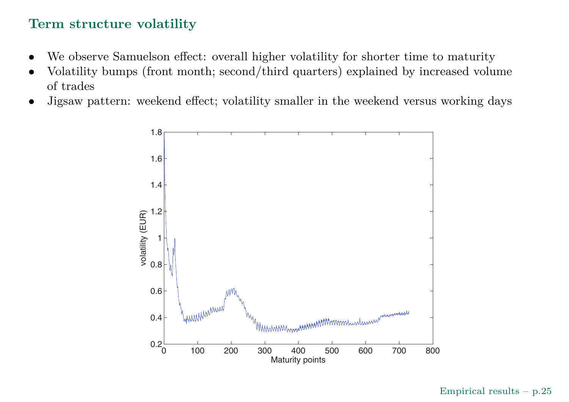## **Term structure volatility**

- •We observe Samuelson effect: overall higher volatility for shorter time to maturity
- Volatility bumps (front month; second/third quarters) explained by increased volume •of trades
- $\bullet~$  Jigsaw pattern: weekend effect; volatility smaller in the weekend versus working days •



Empirical results – p.25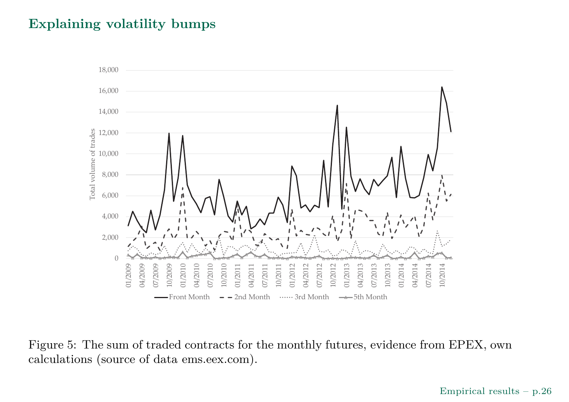## **Explaining volatility bumps**



Figure 5: The sum of traded contracts for the monthly futures, evidence from EPEX, owncalculations (source of data ems.eex.com).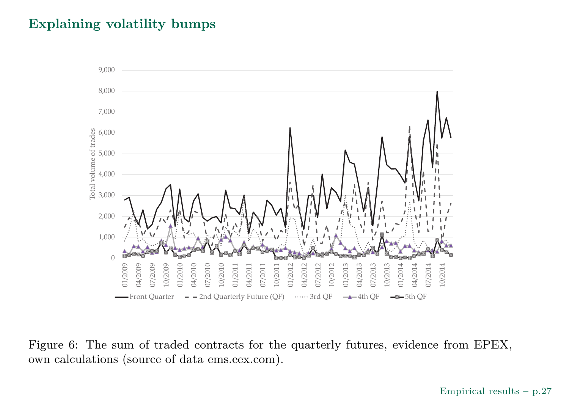#### **Explaining volatility bumps**



Figure 6: The sum of traded contracts for the quarterly futures, evidence from EPEX,own calculations (source of data ems.eex.com).

Empirical results – p.27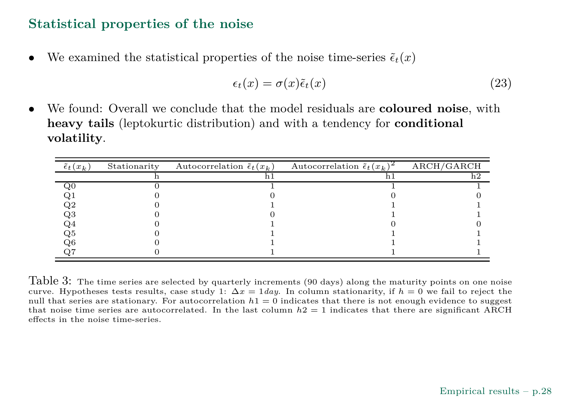#### **Statistical properties of the noise**

 $\bullet$ We examined the statistical properties of the noise time-series  $\tilde{\epsilon}_t(x)$ 

$$
\epsilon_t(x) = \sigma(x)\tilde{\epsilon}_t(x) \tag{23}
$$

• We found: Overall we conclude that the model residuals are **coloured noise**, with**heavy tails** (leptokurtic distribution) and with <sup>a</sup> tendency for **conditional volatility**.

| $\tilde{\epsilon}_t(x_k)$ | Stationarity | Autocorrelation $\tilde{\epsilon}_t(x_k)$ | Autocorrelation $\tilde{\epsilon}_t(x_k)$ | ARCH/GARCH |
|---------------------------|--------------|-------------------------------------------|-------------------------------------------|------------|
|                           |              |                                           |                                           | h2         |
| $_{\rm Q0}$               |              |                                           |                                           |            |
| Q1                        |              |                                           |                                           |            |
| $\mathrm{Q}2$             |              |                                           |                                           |            |
| Q3                        |              |                                           |                                           |            |
| Q4                        |              |                                           |                                           |            |
| Q5                        |              |                                           |                                           |            |
| Q6                        |              |                                           |                                           |            |
| 27                        |              |                                           |                                           |            |

 ${\rm Table~3:~The~time~series~are~selected~by~quarterly~ increments~(90~days)~along~the~maturity~points~on~one~noise}$ curve. Hypotheses tests results, case study 1:  $\Delta x = 1 \, day$ . In column stationarity, if  $h = 0$  we fail to reject the null that series are stationary. For autocorrelation  $h1=0$  indicates that there is not enough evidence to suggest that noise time series are autocorrelated. In the last column  $h2=1$  indicates that there are significant  $\rm{ARCH}$ effects in the noise time-series.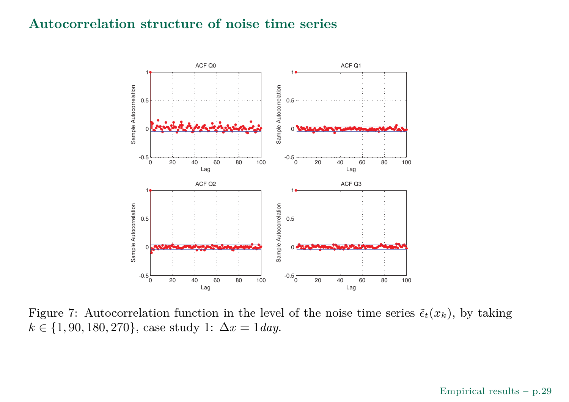#### **Autocorrelation structure of noise time series**



Figure 7: Autocorrelation function in the level of the noise time series  $\tilde{\epsilon}_t(x_k)$ , by taking  $k \in \{1, 90, 180, 270\}$ , case study 1:  $\Delta x = 1$ *day*.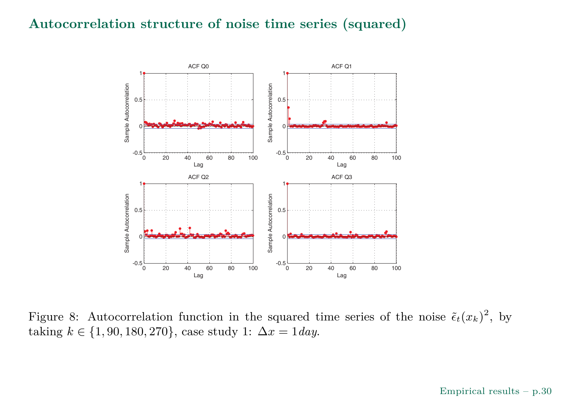#### **Autocorrelation structure of noise time series (squared)**



Figure 8: Autocorrelation function in the squared time series of the noise  $\tilde{\epsilon}_t(x_k)^2$ , by  $\{\text{taking } k \in \{1, 90, 180, 270\}, \text{ case study 1: } \Delta x = 1 \, day.$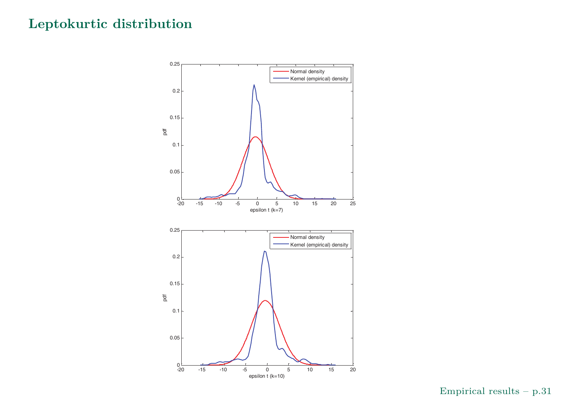# **Leptokurtic distribution**

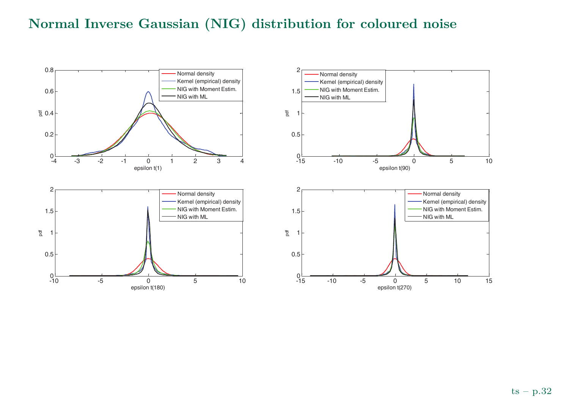# **Normal Inverse Gaussian (NIG) distribution for coloured noise**

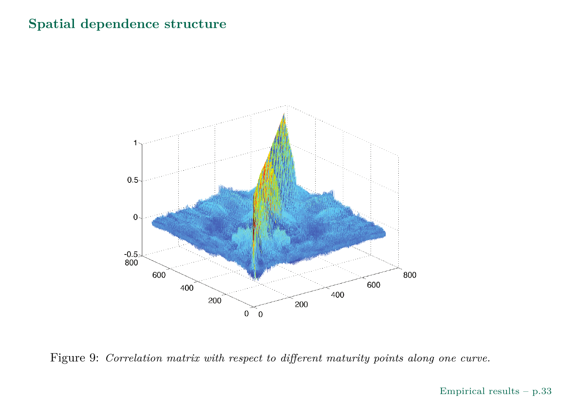## **Spatial dependence structure**





#### $\it Empirical$  results – p.33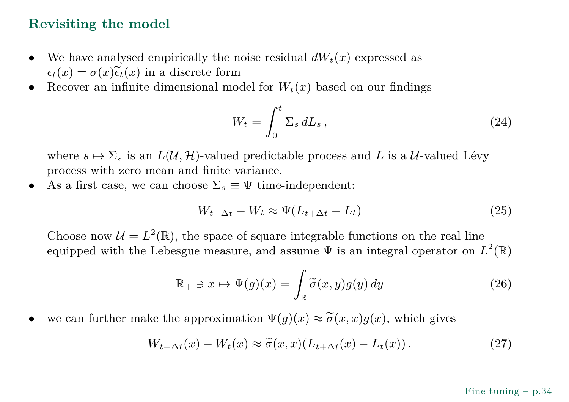#### **Revisiting the model**

- •We have analysed empirically the noise residual  $dW_t(x)$  expressed as  $\epsilon_t(x) = \sigma(x)\widetilde{\epsilon}_t(x)$  in a discrete form
- Recover an infinite dimensional model for  $W_t(x)$  based on our findings •

$$
W_t = \int_0^t \Sigma_s \, dL_s \,, \tag{24}
$$

where  $s \mapsto \Sigma_s$  is an  $L(\mathcal{U}, \mathcal{H})$ -valued predictable process and *L* is a  $\mathcal{U}$ -valued Lévy<br>process with zero mean and finite variance process with zero mean and finite variance.

•As a first case, we can choose  $\Sigma_s \equiv \Psi$  time-independent:

$$
W_{t+\Delta t} - W_t \approx \Psi(L_{t+\Delta t} - L_t)
$$
\n(25)

Choose now  $\mathcal{U} = L^2(\mathbb{R})$ , the space of square integrable functions on the real line equipped with the Lebesgue measure, and assume  $\Psi$  is an integral operator on  $L^2(\mathbb{R})$ 

$$
\mathbb{R}_{+} \ni x \mapsto \Psi(g)(x) = \int_{\mathbb{R}} \widetilde{\sigma}(x, y) g(y) \, dy \tag{26}
$$

•• we can further make the approximation  $\Psi(g)(x) \approx \tilde{\sigma}(x,x)g(x)$ , which gives

$$
W_{t+\Delta t}(x) - W_t(x) \approx \tilde{\sigma}(x, x)(L_{t+\Delta t}(x) - L_t(x)). \tag{27}
$$

#### Fine tuning – p.34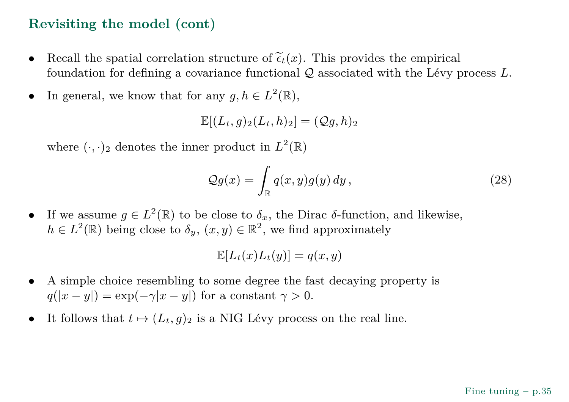# **Revisiting the model (cont)**

- •Recall the spatial correlation structure of  $\tilde{\epsilon}_t(x)$ . This provides the empirical foundation for defining <sup>a</sup> covariance functional Q associated with the Lévy process *<sup>L</sup>*.
- •In general, we know that for any  $g, h \in L^2(\mathbb{R}),$

 $\mathbb{E}[(L_t, q)_2(L_t, h)_2] = (Qq, h)_2$ 

where  $(\cdot, \cdot)_2$  denotes the inner product in  $L^2(\mathbb{R})$ 

$$
\mathcal{Q}g(x) = \int_{\mathbb{R}} q(x, y)g(y) \, dy \,, \tag{28}
$$

•If we assume *g* ∈ *L*<sup>2</sup>(ℝ) to be close to  $\delta_x$ , the Dirac *δ*-function, and likewise,  $h \in L^2(\mathbb{R})$  being close to  $\delta_y$ ,  $(x, y) \in \mathbb{R}^2$ , we find approximately

$$
\mathbb{E}[L_t(x)L_t(y)]=q(x,y)
$$

- • <sup>A</sup> simple choice resembling to some degree the fast decaying property is  $q(|x-y|) = \exp(-\gamma|x-y|)$  for a constant  $\gamma > 0$ .
- •It follows that  $t \mapsto (L_t, g)_2$  is a NIG Lévy process on the real line.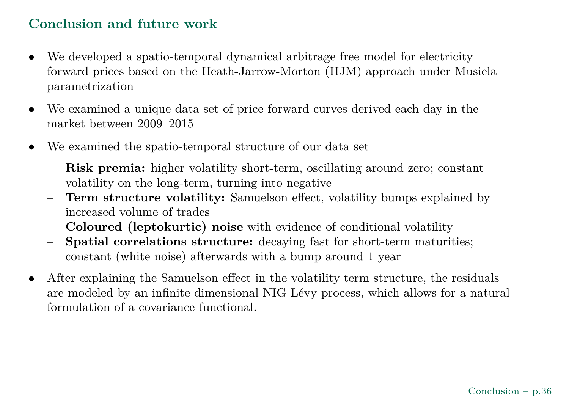# **Conclusion and future work**

- $\bullet$ We developed <sup>a</sup> spatio-temporal dynamical arbitrage free model for electricity forward prices based on the Heath-Jarrow-Morton (HJM) approac<sup>h</sup> under Musielaparametrization
- • We examined <sup>a</sup> unique data set of price forward curves derived each day in the market between 2009–2015
- • We examined the spatio-temporal structure of our data set
	- –**Risk premia:** higher volatility short-term, oscillating around zero; constant volatility on the long-term, turning into negative
	- **Term structure volatility:** Samuelson effect, volatility bumps explained by–increased volume of trades
	- **Coloured (leptokurtic) noise** with evidence of conditional volatility –
	- $\equiv$  **Spatial correlations structure:** decaying fast for short-term maturities; constant (white noise) afterwards with <sup>a</sup> bump around <sup>1</sup> year
- • After explaining the Samuelson effect in the volatility term structure, the residuals are modeled by an infinite dimensional NIG Lévy process, which allows for <sup>a</sup> naturalformulation of <sup>a</sup> covariance functional.